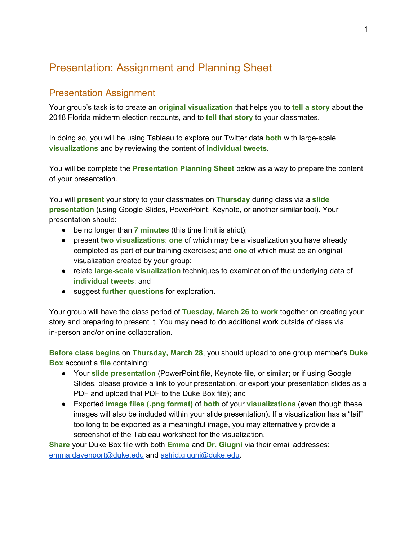# Presentation: Assignment and Planning Sheet

## Presentation Assignment

Your group's task is to create an **original visualization** that helps you to **tell a story** about the 2018 Florida midterm election recounts, and to **tell that story** to your classmates.

In doing so, you will be using Tableau to explore our Twitter data **both** with large-scale **visualizations** and by reviewing the content of **individual tweets**.

You will be complete the **Presentation Planning Sheet** below as a way to prepare the content of your presentation.

You will **present** your story to your classmates on **Thursday** during class via a **slide presentation** (using Google Slides, PowerPoint, Keynote, or another similar tool). Your presentation should:

- be no longer than **7 minutes** (this time limit is strict);
- present **two visualizations**: **one** of which may be a visualization you have already completed as part of our training exercises; and **one** of which must be an original visualization created by your group;
- relate **large-scale visualization** techniques to examination of the underlying data of **individual tweets**; and
- suggest **further questions** for exploration.

Your group will have the class period of **Tuesday, March 26 to work** together on creating your story and preparing to present it. You may need to do additional work outside of class via in-person and/or online collaboration.

**Before class begins** on **Thursday, March 28**, you should upload to one group member's **Duke Box** account a **file** containing:

- Your **slide presentation** (PowerPoint file, Keynote file, or similar; or if using Google Slides, please provide a link to your presentation, or export your presentation slides as a PDF and upload that PDF to the Duke Box file); and
- Exported **image files (.png format)** of **both** of your **visualizations** (even though these images will also be included within your slide presentation). If a visualization has a "tail" too long to be exported as a meaningful image, you may alternatively provide a screenshot of the Tableau worksheet for the visualization.

**Share** your Duke Box file with both **Emma** and **Dr. Giugni** via their email addresses: [emma.davenport@duke.edu](mailto:emma.davenport@duke.edu) and [astrid.giugni@duke.edu.](mailto:astrid.giugni@duke.edu)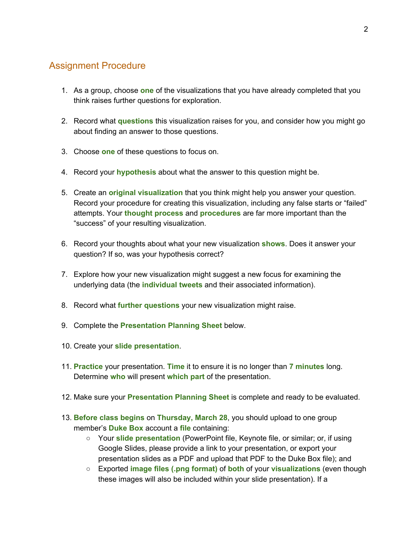### Assignment Procedure

- 1. As a group, choose **one** of the visualizations that you have already completed that you think raises further questions for exploration.
- 2. Record what **questions** this visualization raises for you, and consider how you might go about finding an answer to those questions.
- 3. Choose **one** of these questions to focus on.
- 4. Record your **hypothesis** about what the answer to this question might be.
- 5. Create an **original visualization** that you think might help you answer your question. Record your procedure for creating this visualization, including any false starts or "failed" attempts. Your **thought process** and **procedures** are far more important than the "success" of your resulting visualization.
- 6. Record your thoughts about what your new visualization **shows**. Does it answer your question? If so, was your hypothesis correct?
- 7. Explore how your new visualization might suggest a new focus for examining the underlying data (the **individual tweets** and their associated information).
- 8. Record what **further questions** your new visualization might raise.
- 9. Complete the **Presentation Planning Sheet** below.
- 10. Create your **slide presentation**.
- 11. **Practice** your presentation. **Time** it to ensure it is no longer than **7 minutes** long. Determine **who** will present **which part** of the presentation.
- 12. Make sure your **Presentation Planning Sheet** is complete and ready to be evaluated.
- 13. **Before class begins** on **Thursday, March 28**, you should upload to one group member's **Duke Box** account a **file** containing:
	- Your **slide presentation** (PowerPoint file, Keynote file, or similar; or, if using Google Slides, please provide a link to your presentation, or export your presentation slides as a PDF and upload that PDF to the Duke Box file); and
	- Exported **image files (.png format)** of **both** of your **visualizations** (even though these images will also be included within your slide presentation). If a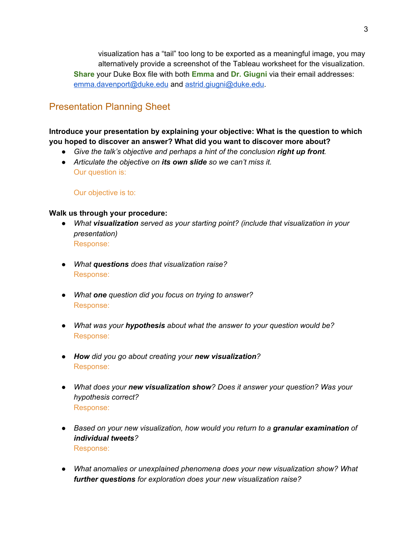visualization has a "tail" too long to be exported as a meaningful image, you may alternatively provide a screenshot of the Tableau worksheet for the visualization. **Share** your Duke Box file with both **Emma** and **Dr. Giugni** via their email addresses: [emma.davenport@duke.edu](mailto:emma.davenport@duke.edu) and [astrid.giugni@duke.edu.](mailto:astrid.giugni@duke.edu)

# Presentation Planning Sheet

### **Introduce your presentation by explaining your objective: What is the question to which you hoped to discover an answer? What did you want to discover more about?**

- *● Give the talk's objective and perhaps a hint of the conclusion right up front.*
- *● Articulate the objective on its own slide so we can't miss it.* Our question is:

Our objective is to:

#### **Walk us through your procedure:**

- *● What visualization served as your starting point? (include that visualization in your presentation)* Response:
- *● What questions does that visualization raise?* Response:
- *● What one question did you focus on trying to answer?* Response:
- *● What was your hypothesis about what the answer to your question would be?* Response:
- *● How did you go about creating your new visualization?* Response:
- *● What does your new visualization show? Does it answer your question? Was your hypothesis correct?* Response:
- *● Based on your new visualization, how would you return to a granular examination of individual tweets?* Response:
- *● What anomalies or unexplained phenomena does your new visualization show? What further questions for exploration does your new visualization raise?*